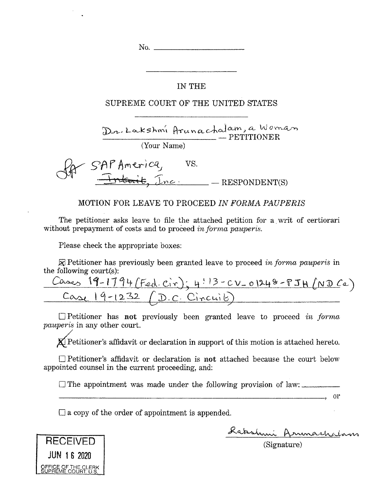No.

## IN THE

## SUPREME COURT OF THE UNITED STATES

LooksKm, Pi^i6cc-KcJ^^ We'^ \_\_\_\_\_\_\_\_\_\_\_\_\_\_\_\_\_\_\_\_\_\_,\_\_\_\_ — PETITIONER

(Your Name)

SAP America, VS. — RESPONDENT(S) **No.** THET IN THE COURT OF THE COURT OF THE COURT OF THE COURT OF THE COURT OF THE COURT OF THE COURT OF THE PERIOD OF THE PERIOD THE PERIOD THE PERIOD THE PERIOD THE PERIOD THE PERIOD OF THE COURT OF THE COURT OF THE COU

## MOTION FOR LEAVE TO PROCEED *IN FORMA PAUPERIS*

The petitioner asks leave to file the attached petition for a. writ of certiorari without prepayment of costs and to proceed *in forma pauperis*.

Please check the appropriate boxes:

® Petitioner has previously been granted leave to proceed *in forma pauperis* in the following court(s):

| $l_{\rm A\Delta\sigma\Lambda}$ | $19-1794$ (Fed. Cir): 4:13-CV-01248-PJH (ND Ca) |
|--------------------------------|-------------------------------------------------|
| $9 - 1232$ / D.C. Ci.          |                                                 |

Petitioner has not previously been granted leave to proceed *in forma pauperis* in any other court.

 $\chi$ <sup>p</sup> Petitioner's affidavit or declaration in support of this motion is attached hereto.

Petitioner's affidavit or declaration is not attached because the court below appointed counsel in the current proceeding, and:

 $\Box$  The appointment was made under the following provision of law:

 $\Box$  a copy of the order of appointment is appended.

Labshmi Arnmachalans

 $\overline{\phantom{a}}$ , or

(Signature)

**RECEIVED JUN <sup>1</sup> 8 2020**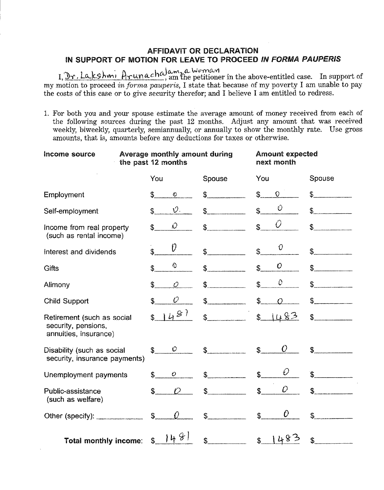## AFFIDAVIT OR DECLARATION IN SUPPORT OF MOTION FOR LEAVE TO PROCEED *IN FORMA PAUPERIS*

, Lcl{<sup>c</sup>\$hm*\* **CUW1., &- w***o***yv>£-V|** am the petitioner in the above-entitled case. In support of my motion to proceed *in forma pauperis,* I state that because of my poverty I am unable to pay the costs of this case or to give security therefor; and I believe I am entitled to redress.

1. For both you and your spouse estimate the average amount of money received from each of the following sources during the past 12 months. Adjust any amount that was received weekly, biweekly, quarterly, semiannually, or annually to show the monthly rate. Use gross amounts, that is, amounts before any deductions for taxes or otherwise.

| Income source                                                              | the past 12 months            | Average monthly amount during |                                  | <b>Amount expected</b><br>next month |  |
|----------------------------------------------------------------------------|-------------------------------|-------------------------------|----------------------------------|--------------------------------------|--|
|                                                                            | You                           | Spouse                        | You                              | Spouse                               |  |
| Employment                                                                 | \$<br>O                       | S.                            | \$<br>$\circ$                    |                                      |  |
| Self-employment                                                            | $\hat{v}$ .<br>\$             | $\mathbb{S}$                  | O<br>\$                          |                                      |  |
| Income from real property<br>(such as rental income)                       | O.<br>\$                      | $\mathbb{S}$                  | $\hat{U}$<br>\$                  | s                                    |  |
| Interest and dividends                                                     | V)<br>\$                      | $\mathbb{S}^-$                | 0<br>$\mathbb S$                 | $\mathbb{S}$                         |  |
| <b>Gifts</b>                                                               | ♦<br>\$                       | Ś.                            | $\mathcal{O}$<br>$\mathbb S$     | $\mathfrak{F}$                       |  |
| Alimony                                                                    | \$<br>Ó                       | \$                            | $\mathcal{O}$<br>\$              | \$                                   |  |
| Child Support                                                              | $\mathcal O$<br>\$            | $\mathfrak s$                 | \$                               | $\mathbb{S}^-$                       |  |
| Retirement (such as social<br>security, pensions,<br>annuities, insurance) | 481<br>\$                     | $\mathbb{S}$                  | $\ddot{\text{S}}$<br><u>1483</u> | $\frac{1}{2}$                        |  |
| Disability (such as social<br>security, insurance payments)                | $\mathcal{O}^-$<br>Ŝ.         | $\mathbb{S}$                  | O<br>$\mathbf S$                 |                                      |  |
| Unemployment payments                                                      | $\mathbb{S}$<br>$\mathcal{O}$ | \$                            | Ð<br>\$                          |                                      |  |
| Public-assistance<br>(such as welfare)                                     | $\mathcal{D}$<br>\$           | \$                            | O<br>\$                          |                                      |  |
| Other (specify): _____________                                             | $\mathbf S$<br>$\Omega$       | $\mathbb{S}$                  | 0<br>$\mathfrak{F}$              |                                      |  |
| Total monthly income:                                                      | 1481<br>\$                    | \$                            | 483<br>$\mathfrak{S}$            |                                      |  |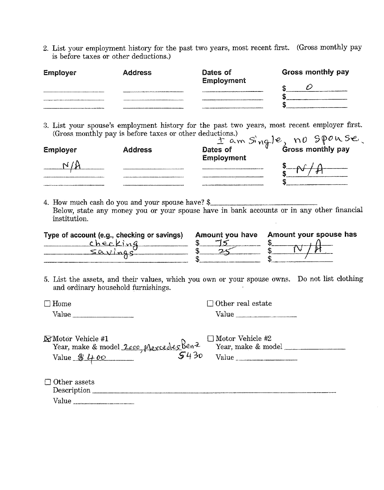2. List your employment history for the past two years, most recent first. (Gross monthly pay is before taxes or other deductions.)

| Employer                                                                                                    | <b>Address</b> | Dates of<br>Employment                                                                                        | Gross monthly pay |
|-------------------------------------------------------------------------------------------------------------|----------------|---------------------------------------------------------------------------------------------------------------|-------------------|
| ___________                                                                                                 |                |                                                                                                               |                   |
|                                                                                                             |                |                                                                                                               |                   |
| and and substitute components are the components of the components of the components of the children in the |                | the continue of the company and continued approximation of the continued of the continued of the continued of |                   |

3. List your spouse's employment history for the past two years, most recent employer first. (Gross monthly pay is before taxes or other deductions.)<br> $\frac{1}{2}$  am  $\sin \frac{1}{2}$  **no**  $\sin \frac{1}{2}$  **pous** 

| Employer | <b>Address</b> |                   | 1 am Single, no Spouse |
|----------|----------------|-------------------|------------------------|
|          |                | <b>Employment</b> |                        |
|          |                |                   |                        |
|          |                |                   |                        |

4. How much cash do you and your spouse have? \$\_\_\_\_\_\_\_\_\_\_\_\_\_\_\_\_\_\_\_\_\_\_\_\_\_\_\_\_\_\_\_\_\_ Below, state any money you or your spouse have in bank accounts or in any other financial institution.  $\sim$ 

| Type of account (e.g., checking or savings) | Amount you have Amount your spouse has |
|---------------------------------------------|----------------------------------------|
| checkina                                    |                                        |
|                                             |                                        |
|                                             |                                        |

5. List the assets, and their values, which you own or your spouse owns. Do not list clothing and ordinary household furnishings.

| $\Box$ Home | $\Box$ Other real estate |  |  |
|-------------|--------------------------|--|--|
| Value       | Value                    |  |  |
|             |                          |  |  |

| <b>XMotor Vehicle #1</b>                           |      | $\Box$ Motor Vehicle #2 |
|----------------------------------------------------|------|-------------------------|
| Year, make & model 2ccc, Mercedes Ben <sup>2</sup> |      | Year, make & model      |
| Value $\mathcal{B}$ 400                            | 5430 | Value                   |

| $\Box$ Other assets                                     |
|---------------------------------------------------------|
| Description<br>www.communication.com/communication.com/ |
| Value                                                   |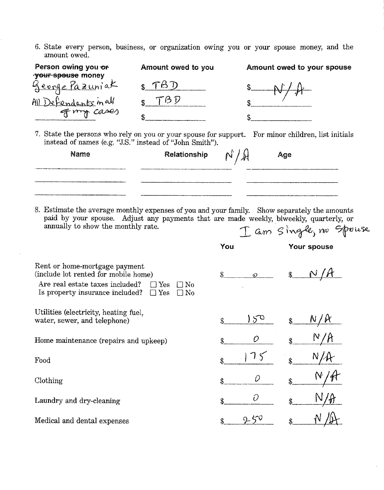6. State every person, business, or organization owing you or your spouse money, and the amount owed.

| Person owing you or<br><b>your spouse money</b>                                                                                                                                                                              | Amount owed to you                                 |                 | Amount owed to your spouse            |
|------------------------------------------------------------------------------------------------------------------------------------------------------------------------------------------------------------------------------|----------------------------------------------------|-----------------|---------------------------------------|
| George Pazuniak                                                                                                                                                                                                              | TBD                                                |                 |                                       |
| All Defendants in all                                                                                                                                                                                                        | TBD                                                |                 |                                       |
|                                                                                                                                                                                                                              |                                                    |                 |                                       |
| 7. State the persons who rely on you or your spouse for support. For minor children, list initials<br>instead of names (e.g. "J.S." instead of "John Smith").                                                                |                                                    |                 |                                       |
| Name                                                                                                                                                                                                                         | Relationship                                       | $N/\mathcal{H}$ | Age                                   |
| 8. Estimate the average monthly expenses of you and your family. Show separately the amounts<br>paid by your spouse. Adjust any payments that are made weekly, biweekly, quarterly, or<br>annually to show the monthly rate. |                                                    | You             | I am Single, no Spouse<br>Your spouse |
| Rent or home-mortgage payment<br>(include lot rented for mobile home)<br>Are real estate taxes included?<br>Is property insurance included?                                                                                  | $\Box$ Yes<br>$\Box$ No<br>$\Box$ Yes<br>$\Box$ No |                 | $\sqrt[3]{4}$                         |
| Utilities (electricity, heating fuel,<br>water, sewer, and telephone)                                                                                                                                                        |                                                    | $5^{\circ}$     |                                       |
| Home maintenance (repairs and upkeep)                                                                                                                                                                                        |                                                    |                 |                                       |
| Food                                                                                                                                                                                                                         |                                                    |                 |                                       |
| Clothing                                                                                                                                                                                                                     |                                                    | D               |                                       |
| Laundry and dry-cleaning                                                                                                                                                                                                     |                                                    | O<br>\$         | \$                                    |
| Medical and dental expenses                                                                                                                                                                                                  |                                                    | 250<br>\$       |                                       |

 $\bar{z}$ 

 $\sim$   $\sim$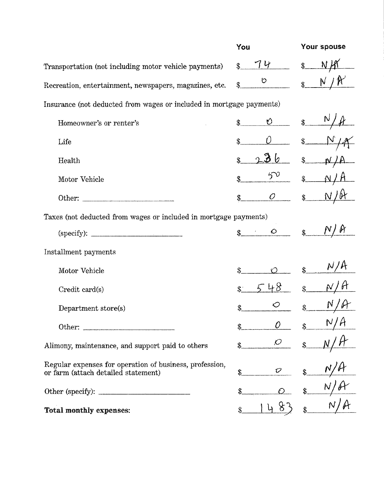|                                                                                                | You                         | Your spouse                  |
|------------------------------------------------------------------------------------------------|-----------------------------|------------------------------|
| Transportation (not including motor vehicle payments)                                          | 74<br>\$                    | $\frac{1}{2}$                |
| Recreation, entertainment, newspapers, magazines, etc.                                         | O                           | $\mathbb N$<br>$\frac{1}{2}$ |
| Insurance (not deducted from wages or included in mortgage payments)                           |                             |                              |
| Homeowner's or renter's                                                                        | $\frac{0}{s}$ \$            |                              |
| Life                                                                                           | \$                          | \$.                          |
| Health                                                                                         | 286                         | $\mathbf{\hat{S}}$           |
| Motor Vehicle                                                                                  | $5^{\circ}$                 | $\mathbf{\$\}$               |
|                                                                                                | $\overline{O}$              | $\mathcal{S}_{-}$            |
| Taxes (not deducted from wages or included in mortgage payments)                               |                             |                              |
| (specify):                                                                                     | $\mathcal{L} = \mathcal{O}$ | $\mathbf{\$}$                |
| Installment payments                                                                           |                             |                              |
| Motor Vehicle                                                                                  | $\mathbf S$                 | N/K<br>\$                    |
| Credit card(s)                                                                                 |                             | $\hat{\mathcal{S}}$          |
| Department store(s)                                                                            | \$                          | \$                           |
| Other:                                                                                         | \$                          | N/A                          |
| Alimony, maintenance, and support paid to others                                               | $\mathcal{O}$<br>\$         |                              |
| Regular expenses for operation of business, profession,<br>or farm (attach detailed statement) | O<br>\$                     |                              |
| Other (specify): $\frac{1}{\sqrt{1-\frac{1}{2}} \cdot \frac{1}{2}}$                            |                             |                              |
| <b>Total monthly expenses:</b>                                                                 |                             |                              |